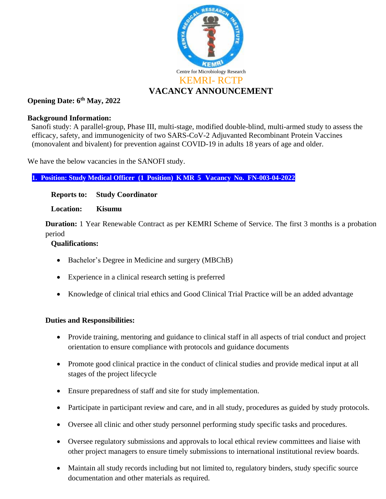

# **Opening Date: 6 th May, 2022**

#### **Background Information:**

 Sanofi study: A parallel-group, Phase III, multi-stage, modified double-blind, multi-armed study to assess the efficacy, safety, and immunogenicity of two SARS-CoV-2 Adjuvanted Recombinant Protein Vaccines (monovalent and bivalent) for prevention against COVID-19 in adults 18 years of age and older.

We have the below vacancies in the SANOFI study.

**1. Position: Study Medical Officer (1 Position) K MR 5 Vacancy No. FN-003-04-2022**

#### **Reports to: Study Coordinator**

#### **Location: Kisumu**

**Duration:** 1 Year Renewable Contract as per KEMRI Scheme of Service. The first 3 months is a probation period

## **Qualifications:**

- Bachelor's Degree in Medicine and surgery (MBChB)
- Experience in a clinical research setting is preferred
- Knowledge of clinical trial ethics and Good Clinical Trial Practice will be an added advantage

## **Duties and Responsibilities:**

- Provide training, mentoring and guidance to clinical staff in all aspects of trial conduct and project orientation to ensure compliance with protocols and guidance documents
- Promote good clinical practice in the conduct of clinical studies and provide medical input at all stages of the project lifecycle
- Ensure preparedness of staff and site for study implementation.
- Participate in participant review and care, and in all study, procedures as guided by study protocols.
- Oversee all clinic and other study personnel performing study specific tasks and procedures.
- Oversee regulatory submissions and approvals to local ethical review committees and liaise with other project managers to ensure timely submissions to international institutional review boards.
- Maintain all study records including but not limited to, regulatory binders, study specific source documentation and other materials as required.